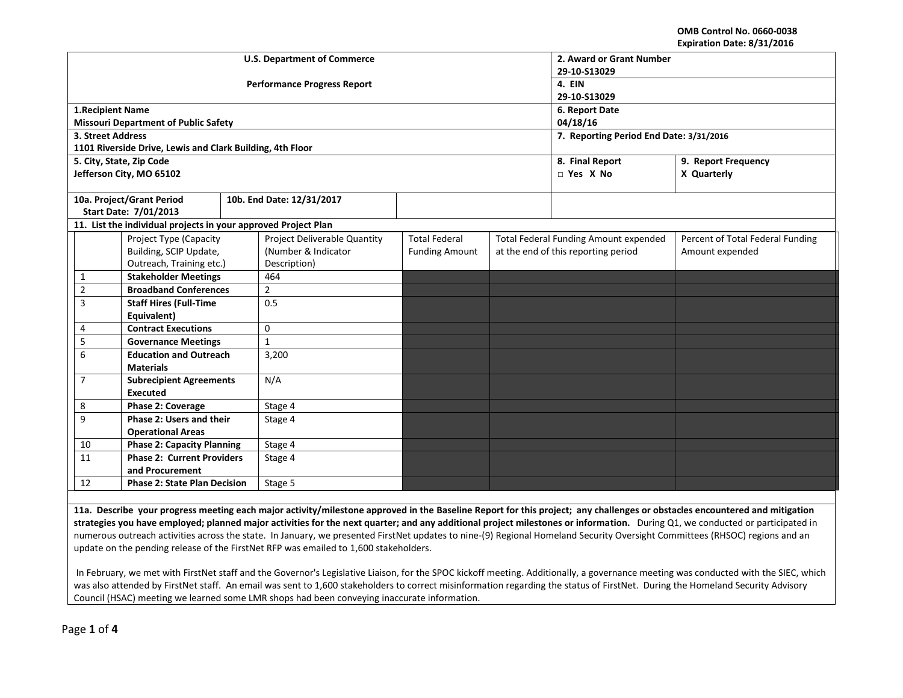**OMB Control No. 0660-0038 Expiration Date: 8/31/2016**

|                                                                |                                                           |  | <b>U.S. Department of Commerce</b> | 2. Award or Grant Number                |                                       |                 |                                  |  |
|----------------------------------------------------------------|-----------------------------------------------------------|--|------------------------------------|-----------------------------------------|---------------------------------------|-----------------|----------------------------------|--|
|                                                                |                                                           |  |                                    | 29-10-S13029                            |                                       |                 |                                  |  |
|                                                                |                                                           |  | <b>Performance Progress Report</b> | 4. EIN                                  |                                       |                 |                                  |  |
|                                                                |                                                           |  |                                    | 29-10-S13029                            |                                       |                 |                                  |  |
| 1. Recipient Name                                              |                                                           |  |                                    | 6. Report Date                          |                                       |                 |                                  |  |
|                                                                | <b>Missouri Department of Public Safety</b>               |  |                                    | 04/18/16                                |                                       |                 |                                  |  |
| 3. Street Address                                              |                                                           |  |                                    | 7. Reporting Period End Date: 3/31/2016 |                                       |                 |                                  |  |
|                                                                | 1101 Riverside Drive, Lewis and Clark Building, 4th Floor |  |                                    |                                         |                                       |                 |                                  |  |
|                                                                | 5. City, State, Zip Code                                  |  |                                    |                                         |                                       | 8. Final Report | 9. Report Frequency              |  |
|                                                                | Jefferson City, MO 65102                                  |  |                                    |                                         |                                       | $\Box$ Yes X No | X Quarterly                      |  |
|                                                                |                                                           |  |                                    |                                         |                                       |                 |                                  |  |
|                                                                | 10a. Project/Grant Period                                 |  | 10b. End Date: 12/31/2017          |                                         |                                       |                 |                                  |  |
|                                                                | Start Date: 7/01/2013                                     |  |                                    |                                         |                                       |                 |                                  |  |
| 11. List the individual projects in your approved Project Plan |                                                           |  |                                    |                                         |                                       |                 |                                  |  |
|                                                                | Project Type (Capacity                                    |  | Project Deliverable Quantity       | <b>Total Federal</b>                    | Total Federal Funding Amount expended |                 | Percent of Total Federal Funding |  |
|                                                                | Building, SCIP Update,                                    |  | (Number & Indicator                | <b>Funding Amount</b>                   | at the end of this reporting period   |                 | Amount expended                  |  |
|                                                                | Outreach, Training etc.)                                  |  | Description)                       |                                         |                                       |                 |                                  |  |
| 1                                                              | <b>Stakeholder Meetings</b>                               |  | 464                                |                                         |                                       |                 |                                  |  |
| $\overline{2}$                                                 | <b>Broadband Conferences</b>                              |  | $\overline{2}$                     |                                         |                                       |                 |                                  |  |
| 3                                                              | <b>Staff Hires (Full-Time</b>                             |  | 0.5                                |                                         |                                       |                 |                                  |  |
|                                                                | Equivalent)                                               |  |                                    |                                         |                                       |                 |                                  |  |
| 4                                                              | <b>Contract Executions</b>                                |  | 0                                  |                                         |                                       |                 |                                  |  |
| 5                                                              | <b>Governance Meetings</b>                                |  | $\mathbf{1}$                       |                                         |                                       |                 |                                  |  |
| 6                                                              | <b>Education and Outreach</b>                             |  | 3,200                              |                                         |                                       |                 |                                  |  |
|                                                                | <b>Materials</b>                                          |  |                                    |                                         |                                       |                 |                                  |  |
| $\overline{7}$                                                 | <b>Subrecipient Agreements</b>                            |  | N/A                                |                                         |                                       |                 |                                  |  |
|                                                                | Executed                                                  |  |                                    |                                         |                                       |                 |                                  |  |
| 8                                                              | Phase 2: Coverage                                         |  | Stage 4                            |                                         |                                       |                 |                                  |  |
| 9                                                              | Phase 2: Users and their                                  |  | Stage 4                            |                                         |                                       |                 |                                  |  |
| <b>Operational Areas</b>                                       |                                                           |  |                                    |                                         |                                       |                 |                                  |  |
| 10                                                             | <b>Phase 2: Capacity Planning</b>                         |  | Stage 4                            |                                         |                                       |                 |                                  |  |
| 11                                                             | <b>Phase 2: Current Providers</b>                         |  | Stage 4                            |                                         |                                       |                 |                                  |  |
|                                                                | and Procurement                                           |  |                                    |                                         |                                       |                 |                                  |  |
| 12                                                             | <b>Phase 2: State Plan Decision</b>                       |  | Stage 5                            |                                         |                                       |                 |                                  |  |
|                                                                |                                                           |  |                                    |                                         |                                       |                 |                                  |  |

**11a. Describe your progress meeting each major activity/milestone approved in the Baseline Report for this project; any challenges or obstacles encountered and mitigation strategies you have employed; planned major activities for the next quarter; and any additional project milestones or information.** During Q1, we conducted or participated in numerous outreach activities across the state. In January, we presented FirstNet updates to nine-(9) Regional Homeland Security Oversight Committees (RHSOC) regions and an update on the pending release of the FirstNet RFP was emailed to 1,600 stakeholders.

In February, we met with FirstNet staff and the Governor's Legislative Liaison, for the SPOC kickoff meeting. Additionally, a governance meeting was conducted with the SIEC, which was also attended by FirstNet staff. An email was sent to 1,600 stakeholders to correct misinformation regarding the status of FirstNet. During the Homeland Security Advisory Council (HSAC) meeting we learned some LMR shops had been conveying inaccurate information.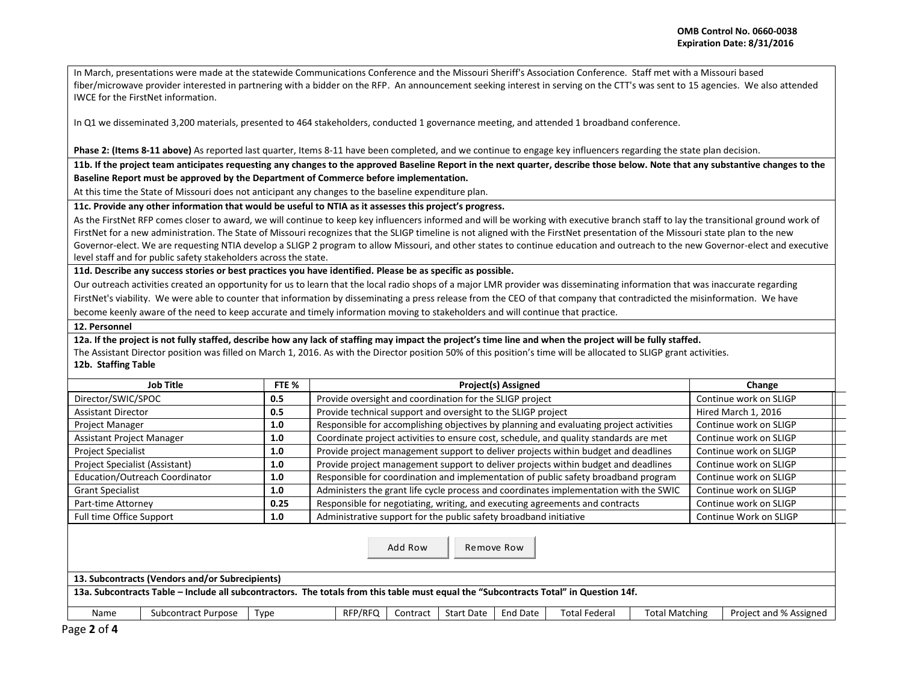In March, presentations were made at the statewide Communications Conference and the Missouri Sheriff's Association Conference. Staff met with a Missouri based fiber/microwave provider interested in partnering with a bidder on the RFP. An announcement seeking interest in serving on the CTT's was sent to 15 agencies. We also attended IWCE for the FirstNet information.

In Q1 we disseminated 3,200 materials, presented to 464 stakeholders, conducted 1 governance meeting, and attended 1 broadband conference.

**Phase 2: (Items 8-11 above)** As reported last quarter, Items 8-11 have been completed, and we continue to engage key influencers regarding the state plan decision.

**11b. If the project team anticipates requesting any changes to the approved Baseline Report in the next quarter, describe those below. Note that any substantive changes to the Baseline Report must be approved by the Department of Commerce before implementation.** 

At this time the State of Missouri does not anticipant any changes to the baseline expenditure plan.

**11c. Provide any other information that would be useful to NTIA as it assesses this project's progress.** 

As the FirstNet RFP comes closer to award, we will continue to keep key influencers informed and will be working with executive branch staff to lay the transitional ground work of FirstNet for a new administration. The State of Missouri recognizes that the SLIGP timeline is not aligned with the FirstNet presentation of the Missouri state plan to the new Governor-elect. We are requesting NTIA develop a SLIGP 2 program to allow Missouri, and other states to continue education and outreach to the new Governor-elect and executive level staff and for public safety stakeholders across the state.

**11d. Describe any success stories or best practices you have identified. Please be as specific as possible.**

Our outreach activities created an opportunity for us to learn that the local radio shops of a major LMR provider was disseminating information that was inaccurate regarding FirstNet's viability. We were able to counter that information by disseminating a press release from the CEO of that company that contradicted the misinformation. We have become keenly aware of the need to keep accurate and timely information moving to stakeholders and will continue that practice.

## **12. Personnel**

**12a. If the project is not fully staffed, describe how any lack of staffing may impact the project's time line and when the project will be fully staffed.**

The Assistant Director position was filled on March 1, 2016. As with the Director position 50% of this position's time will be allocated to SLIGP grant activities.

## **12b. Staffing Table**

|                                                                                                                                                                                                                   | <b>Job Title</b>    | FTE % | <b>Project(s) Assigned</b>                                                                            | Change                 |  |  |
|-------------------------------------------------------------------------------------------------------------------------------------------------------------------------------------------------------------------|---------------------|-------|-------------------------------------------------------------------------------------------------------|------------------------|--|--|
| Director/SWIC/SPOC                                                                                                                                                                                                |                     | 0.5   | Provide oversight and coordination for the SLIGP project                                              | Continue work on SLIGP |  |  |
| <b>Assistant Director</b>                                                                                                                                                                                         |                     | 0.5   | Provide technical support and oversight to the SLIGP project                                          | Hired March 1, 2016    |  |  |
| Project Manager                                                                                                                                                                                                   |                     | 1.0   | Responsible for accomplishing objectives by planning and evaluating project activities                | Continue work on SLIGP |  |  |
| Assistant Project Manager                                                                                                                                                                                         |                     | 1.0   | Coordinate project activities to ensure cost, schedule, and quality standards are met                 | Continue work on SLIGP |  |  |
| <b>Project Specialist</b>                                                                                                                                                                                         |                     | 1.0   | Provide project management support to deliver projects within budget and deadlines                    | Continue work on SLIGP |  |  |
| Project Specialist (Assistant)                                                                                                                                                                                    |                     | 1.0   | Provide project management support to deliver projects within budget and deadlines                    | Continue work on SLIGP |  |  |
| Education/Outreach Coordinator                                                                                                                                                                                    |                     | 1.0   | Responsible for coordination and implementation of public safety broadband program                    | Continue work on SLIGP |  |  |
| <b>Grant Specialist</b>                                                                                                                                                                                           |                     | 1.0   | Administers the grant life cycle process and coordinates implementation with the SWIC                 | Continue work on SLIGP |  |  |
| Part-time Attorney                                                                                                                                                                                                |                     | 0.25  | Responsible for negotiating, writing, and executing agreements and contracts                          | Continue work on SLIGP |  |  |
| Full time Office Support                                                                                                                                                                                          |                     | 1.0   | Administrative support for the public safety broadband initiative                                     | Continue Work on SLIGP |  |  |
| Add Row<br>Remove Row<br>13. Subcontracts (Vendors and/or Subrecipients)<br>13a. Subcontracts Table - Include all subcontractors. The totals from this table must equal the "Subcontracts Total" in Question 14f. |                     |       |                                                                                                       |                        |  |  |
|                                                                                                                                                                                                                   |                     |       |                                                                                                       |                        |  |  |
| Name                                                                                                                                                                                                              | Subcontract Purpose | Type  | End Date<br><b>Total Matching</b><br>RFP/RFQ<br><b>Start Date</b><br><b>Total Federal</b><br>Contract | Project and % Assigned |  |  |

Page **2** of **4**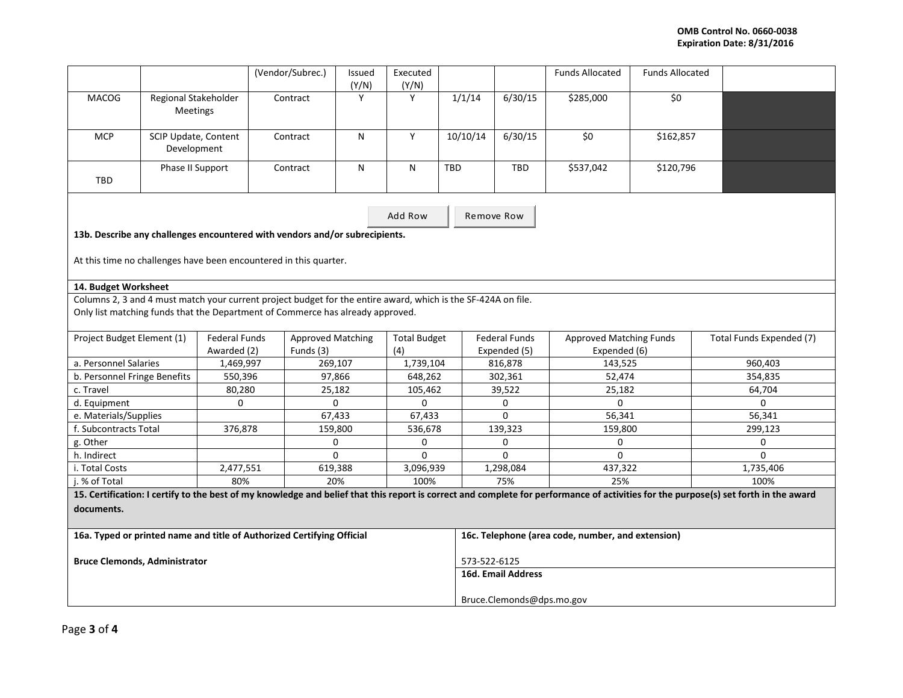## **OMB Control No. 0660-0038 Expiration Date: 8/31/2016**

|                                                                                                                                                                                                 |                                     |                                     | (Vendor/Subrec.)                      | Issued<br>(Y/N) | Executed<br>(Y/N)          |                                                   |                                      | <b>Funds Allocated</b>                         | <b>Funds Allocated</b> |                          |
|-------------------------------------------------------------------------------------------------------------------------------------------------------------------------------------------------|-------------------------------------|-------------------------------------|---------------------------------------|-----------------|----------------------------|---------------------------------------------------|--------------------------------------|------------------------------------------------|------------------------|--------------------------|
| <b>MACOG</b>                                                                                                                                                                                    | Regional Stakeholder<br>Meetings    |                                     | Contract                              | Y               | Y                          | 1/1/14                                            | 6/30/15                              | \$285,000                                      | \$0                    |                          |
| <b>MCP</b>                                                                                                                                                                                      | SCIP Update, Content<br>Development |                                     | Contract                              | N               | Y                          | 10/10/14                                          | 6/30/15                              | \$0                                            | \$162,857              |                          |
| TBD                                                                                                                                                                                             | Phase II Support                    |                                     | Contract                              | N               | N                          | TBD                                               | <b>TBD</b>                           | \$537,042                                      | \$120,796              |                          |
| Add Row                                                                                                                                                                                         |                                     |                                     |                                       |                 |                            | Remove Row                                        |                                      |                                                |                        |                          |
| 13b. Describe any challenges encountered with vendors and/or subrecipients.<br>At this time no challenges have been encountered in this quarter.                                                |                                     |                                     |                                       |                 |                            |                                                   |                                      |                                                |                        |                          |
| 14. Budget Worksheet                                                                                                                                                                            |                                     |                                     |                                       |                 |                            |                                                   |                                      |                                                |                        |                          |
| Columns 2, 3 and 4 must match your current project budget for the entire award, which is the SF-424A on file.<br>Only list matching funds that the Department of Commerce has already approved. |                                     |                                     |                                       |                 |                            |                                                   |                                      |                                                |                        |                          |
| Project Budget Element (1)                                                                                                                                                                      |                                     | <b>Federal Funds</b><br>Awarded (2) | <b>Approved Matching</b><br>Funds (3) |                 | <b>Total Budget</b><br>(4) |                                                   | <b>Federal Funds</b><br>Expended (5) | <b>Approved Matching Funds</b><br>Expended (6) |                        | Total Funds Expended (7) |
| a. Personnel Salaries                                                                                                                                                                           |                                     | 1,469,997                           |                                       | 269,107         |                            | 1,739,104                                         | 816,878                              | 143,525                                        |                        | 960,403                  |
| b. Personnel Fringe Benefits                                                                                                                                                                    |                                     | 550,396                             |                                       | 97,866          |                            | 648,262                                           | 302,361                              | 52,474                                         |                        | 354,835                  |
| c. Travel                                                                                                                                                                                       |                                     | 80,280                              |                                       | 25,182          |                            | 105,462                                           | 39,522                               | 25,182                                         |                        | 64,704                   |
| d. Equipment                                                                                                                                                                                    |                                     | 0                                   |                                       | 0               |                            |                                                   | 0                                    | $\mathbf 0$                                    |                        | 0                        |
| e. Materials/Supplies                                                                                                                                                                           |                                     |                                     | 67,433                                |                 | 67,433                     |                                                   | $\Omega$                             | 56,341                                         |                        | 56,341                   |
| f. Subcontracts Total                                                                                                                                                                           |                                     | 376,878                             | 159,800                               |                 | 536,678                    |                                                   | 139,323                              | 159,800                                        |                        | 299,123                  |
| g. Other                                                                                                                                                                                        |                                     |                                     | $\mathbf 0$                           |                 | $\mathbf{0}$               |                                                   | 0                                    | $\Omega$                                       |                        | $\Omega$                 |
| h. Indirect                                                                                                                                                                                     |                                     |                                     | $\mathbf 0$                           |                 | $\mathbf{0}$               |                                                   | 0                                    | $\Omega$                                       |                        | $\Omega$                 |
| i. Total Costs                                                                                                                                                                                  |                                     | 2,477,551                           | 619,388                               |                 | 3,096,939                  |                                                   | 1,298,084                            | 437,322                                        |                        | 1,735,406                |
| 80%<br>i. % of Total                                                                                                                                                                            |                                     |                                     | 20%                                   |                 | 100%                       |                                                   | 75%                                  | 25%                                            |                        | 100%                     |
| 15. Certification: I certify to the best of my knowledge and belief that this report is correct and complete for performance of activities for the purpose(s) set forth in the award            |                                     |                                     |                                       |                 |                            |                                                   |                                      |                                                |                        |                          |
| documents.                                                                                                                                                                                      |                                     |                                     |                                       |                 |                            |                                                   |                                      |                                                |                        |                          |
| 16a. Typed or printed name and title of Authorized Certifying Official                                                                                                                          |                                     |                                     |                                       |                 |                            | 16c. Telephone (area code, number, and extension) |                                      |                                                |                        |                          |
| <b>Bruce Clemonds, Administrator</b>                                                                                                                                                            |                                     |                                     |                                       |                 |                            | 573-522-6125                                      |                                      |                                                |                        |                          |
|                                                                                                                                                                                                 |                                     |                                     |                                       |                 |                            | <b>16d. Email Address</b>                         |                                      |                                                |                        |                          |
|                                                                                                                                                                                                 |                                     |                                     |                                       |                 |                            | Bruce.Clemonds@dps.mo.gov                         |                                      |                                                |                        |                          |